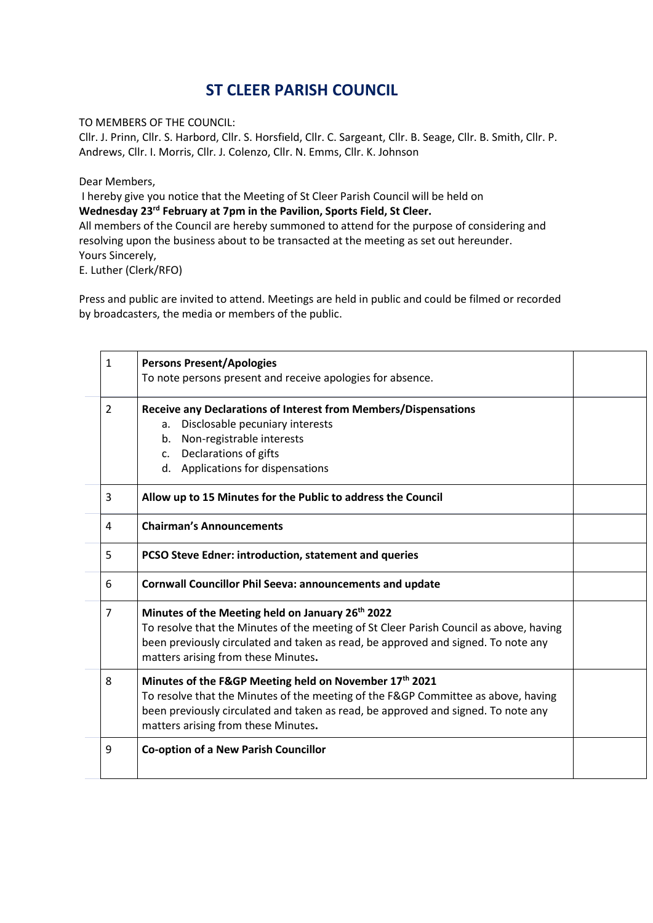## **ST CLEER PARISH COUNCIL**

TO MEMBERS OF THE COUNCIL:

Cllr. J. Prinn, Cllr. S. Harbord, Cllr. S. Horsfield, Cllr. C. Sargeant, Cllr. B. Seage, Cllr. B. Smith, Cllr. P. Andrews, Cllr. I. Morris, Cllr. J. Colenzo, Cllr. N. Emms, Cllr. K. Johnson

Dear Members,

I hereby give you notice that the Meeting of St Cleer Parish Council will be held on **Wednesday 23 rd February at 7pm in the Pavilion, Sports Field, St Cleer.**

All members of the Council are hereby summoned to attend for the purpose of considering and resolving upon the business about to be transacted at the meeting as set out hereunder. Yours Sincerely,

E. Luther (Clerk/RFO)

Press and public are invited to attend. Meetings are held in public and could be filmed or recorded by broadcasters, the media or members of the public.

| 1 | <b>Persons Present/Apologies</b><br>To note persons present and receive apologies for absence.                                                                                                                                                                                     |  |
|---|------------------------------------------------------------------------------------------------------------------------------------------------------------------------------------------------------------------------------------------------------------------------------------|--|
| 2 | Receive any Declarations of Interest from Members/Dispensations<br>Disclosable pecuniary interests<br>a.<br>Non-registrable interests<br>b.<br>c. Declarations of gifts<br>d. Applications for dispensations                                                                       |  |
| 3 | Allow up to 15 Minutes for the Public to address the Council                                                                                                                                                                                                                       |  |
| 4 | <b>Chairman's Announcements</b>                                                                                                                                                                                                                                                    |  |
| 5 | <b>PCSO Steve Edner: introduction, statement and queries</b>                                                                                                                                                                                                                       |  |
| 6 | <b>Cornwall Councillor Phil Seeva: announcements and update</b>                                                                                                                                                                                                                    |  |
| 7 | Minutes of the Meeting held on January 26 <sup>th</sup> 2022<br>To resolve that the Minutes of the meeting of St Cleer Parish Council as above, having<br>been previously circulated and taken as read, be approved and signed. To note any<br>matters arising from these Minutes. |  |
| 8 | Minutes of the F&GP Meeting held on November 17th 2021<br>To resolve that the Minutes of the meeting of the F&GP Committee as above, having<br>been previously circulated and taken as read, be approved and signed. To note any<br>matters arising from these Minutes.            |  |
| 9 | <b>Co-option of a New Parish Councillor</b>                                                                                                                                                                                                                                        |  |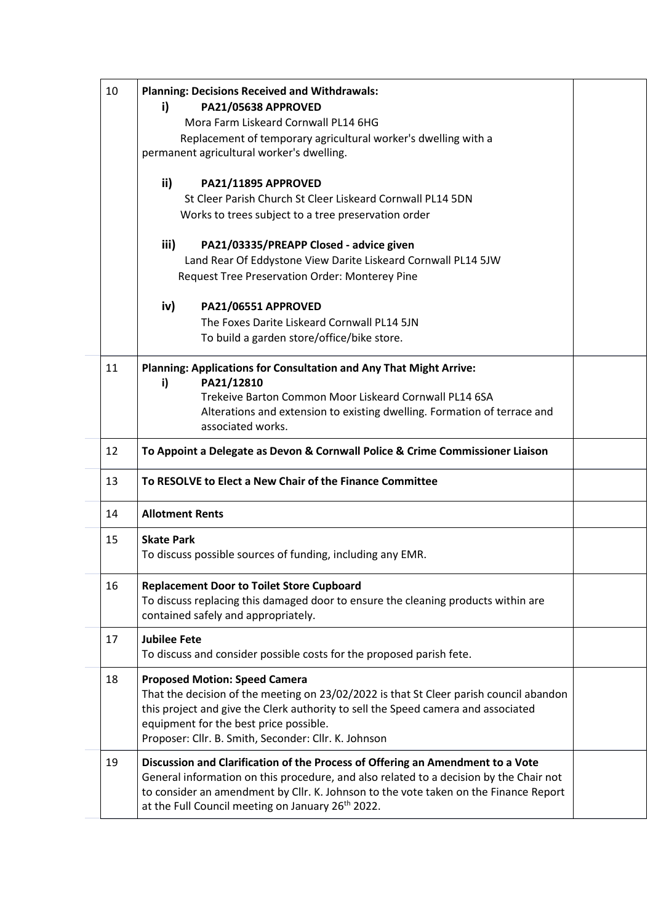| 10 | <b>Planning: Decisions Received and Withdrawals:</b><br>i)<br>PA21/05638 APPROVED<br>Mora Farm Liskeard Cornwall PL14 6HG<br>Replacement of temporary agricultural worker's dwelling with a<br>permanent agricultural worker's dwelling.                                                                                          |  |
|----|-----------------------------------------------------------------------------------------------------------------------------------------------------------------------------------------------------------------------------------------------------------------------------------------------------------------------------------|--|
|    | ii)<br>PA21/11895 APPROVED<br>St Cleer Parish Church St Cleer Liskeard Cornwall PL14 5DN<br>Works to trees subject to a tree preservation order                                                                                                                                                                                   |  |
|    | iii)<br>PA21/03335/PREAPP Closed - advice given<br>Land Rear Of Eddystone View Darite Liskeard Cornwall PL14 5JW<br>Request Tree Preservation Order: Monterey Pine                                                                                                                                                                |  |
|    | iv)<br>PA21/06551 APPROVED<br>The Foxes Darite Liskeard Cornwall PL14 5JN<br>To build a garden store/office/bike store.                                                                                                                                                                                                           |  |
| 11 | Planning: Applications for Consultation and Any That Might Arrive:<br>PA21/12810<br>i)<br>Trekeive Barton Common Moor Liskeard Cornwall PL14 6SA<br>Alterations and extension to existing dwelling. Formation of terrace and<br>associated works.                                                                                 |  |
| 12 | To Appoint a Delegate as Devon & Cornwall Police & Crime Commissioner Liaison                                                                                                                                                                                                                                                     |  |
| 13 | To RESOLVE to Elect a New Chair of the Finance Committee                                                                                                                                                                                                                                                                          |  |
| 14 | <b>Allotment Rents</b>                                                                                                                                                                                                                                                                                                            |  |
| 15 | <b>Skate Park</b><br>To discuss possible sources of funding, including any EMR.                                                                                                                                                                                                                                                   |  |
| 16 | <b>Replacement Door to Toilet Store Cupboard</b><br>To discuss replacing this damaged door to ensure the cleaning products within are<br>contained safely and appropriately.                                                                                                                                                      |  |
| 17 | <b>Jubilee Fete</b><br>To discuss and consider possible costs for the proposed parish fete.                                                                                                                                                                                                                                       |  |
| 18 | <b>Proposed Motion: Speed Camera</b><br>That the decision of the meeting on 23/02/2022 is that St Cleer parish council abandon<br>this project and give the Clerk authority to sell the Speed camera and associated<br>equipment for the best price possible.<br>Proposer: Cllr. B. Smith, Seconder: Cllr. K. Johnson             |  |
| 19 | Discussion and Clarification of the Process of Offering an Amendment to a Vote<br>General information on this procedure, and also related to a decision by the Chair not<br>to consider an amendment by Cllr. K. Johnson to the vote taken on the Finance Report<br>at the Full Council meeting on January 26 <sup>th</sup> 2022. |  |